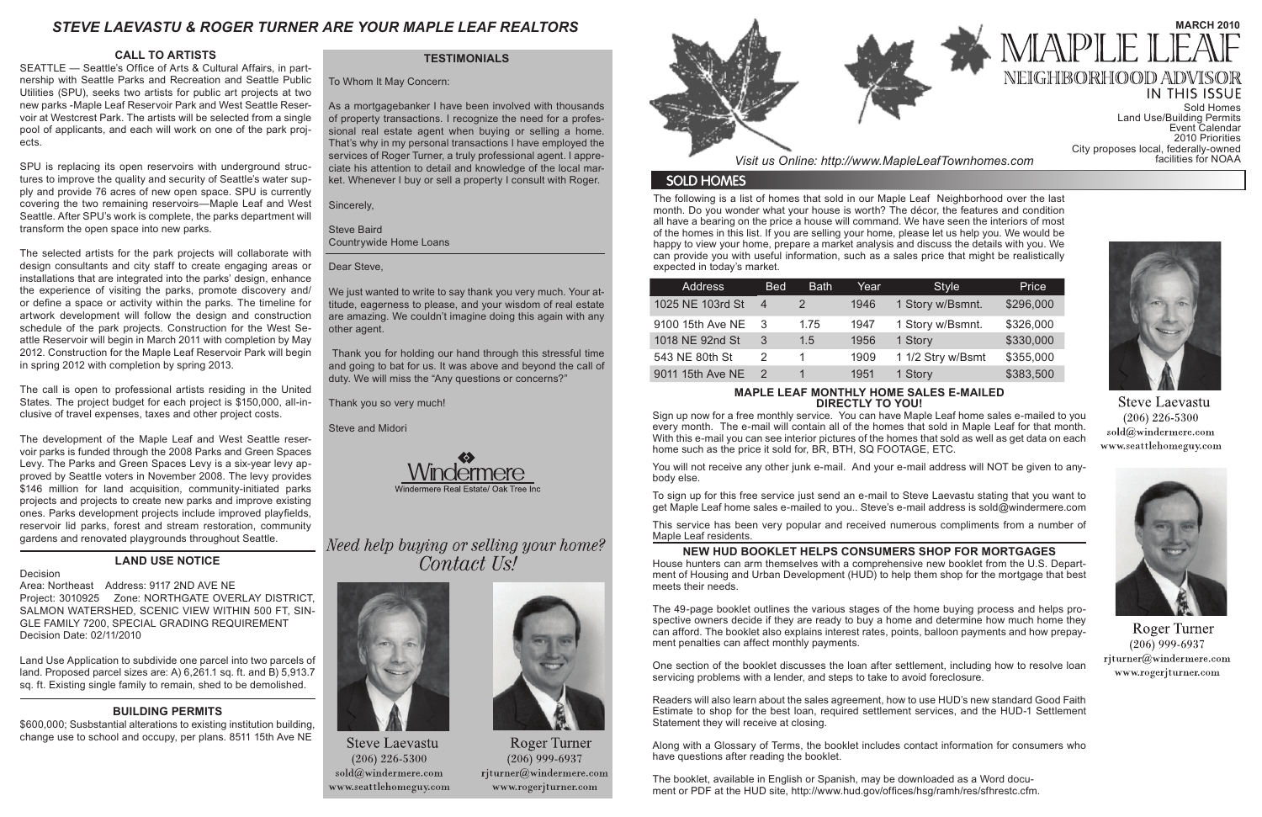The following is a list of homes that sold in our Maple Leaf Neighborhood over the last month. Do you wonder what your house is worth? The décor, the features and condition all have a bearing on the price a house will command. We have seen the interiors of most of the homes in this list. If you are selling your home, please let us help you. We would be happy to view your home, prepare a market analysis and discuss the details with you. We can provide you with useful information, such as a sales price that might be realistically expected in today's market.

**IN THIS ISSUE** Sold Homes Land Use/Building Permits Event Calendar 2010 Priorities City proposes local, federally-owned



**Steve Laevastu**  $(206)$  226-5300 sold@windermere.com www.seattlehomeguy.com



**Roger Turner**  $(206)$  999-6937 rjturner@windermere.com www.rogerjturner.com

# *STEVE LAEVASTU & ROGER TURNER ARE YOUR MAPLE LEAF REALTORS*

#### **MAPLE LEAF MONTHLY HOME SALES E-MAILED DIRECTLY TO YOU!**

Sign up now for a free monthly service. You can have Maple Leaf home sales e-mailed to you every month. The e-mail will contain all of the homes that sold in Maple Leaf for that month. With this e-mail you can see interior pictures of the homes that sold as well as get data on each home such as the price it sold for, BR, BTH, SQ FOOTAGE, ETC.

You will not receive any other junk e-mail. And your e-mail address will NOT be given to anybody else.

To sign up for this free service just send an e-mail to Steve Laevastu stating that you want to get Maple Leaf home sales e-mailed to you.. Steve's e-mail address is sold@windermere.com

This service has been very popular and received numerous compliments from a number of Maple Leaf residents.

### **TESTIMONIALS**

To Whom It May Concern:

As a mortgagebanker I have been involved with thousands of property transactions. I recognize the need for a professional real estate agent when buying or selling a home. That's why in my personal transactions I have employed the services of Roger Turner, a truly professional agent. I appreciate his attention to detail and knowledge of the local market. Whenever I buy or sell a property I consult with Roger.

Sincerely,

Steve Baird Countrywide Home Loans

Dear Steve,

We just wanted to write to say thank you very much. Your attitude, eagerness to please, and your wisdom of real estate are amazing. We couldn't imagine doing this again with any other agent.

 Thank you for holding our hand through this stressful time and going to bat for us. It was above and beyond the call of duty. We will miss the "Any questions or concerns?"

Thank you so very much!

Steve and Midori



Need help buying or selling your home? Contact Us!



**Steve Laevastu**  $(206)$  226-5300 sold@windermere.com www.seattlehomeguy.com



Roger Turner  $(206)$  999-6937 rjturner@windermere.com www.rogerjturner.com



*Visit us Online: http://www.MapleLeafTownhomes.com* 

# **SOLD HOMES**

| <b>Address</b>   | <b>Bed</b>     | <b>Bath</b>   | Year | <b>Style</b>      | Price     |
|------------------|----------------|---------------|------|-------------------|-----------|
| 1025 NE 103rd St | $\overline{4}$ | $\mathcal{P}$ | 1946 | 1 Story w/Bsmnt.  | \$296,000 |
| 9100 15th Ave NE | 3              | 1.75          | 1947 | 1 Story w/Bsmnt.  | \$326,000 |
| 1018 NE 92nd St  | 3              | 1.5           | 1956 | 1 Story           | \$330,000 |
| 543 NE 80th St   |                |               | 1909 | 1 1/2 Stry w/Bsmt | \$355,000 |
| 9011 15th Ave NE | $\mathcal{P}$  |               | 1951 | 1 Story           | \$383,500 |
|                  |                |               |      |                   |           |

## **CALL TO ARTISTS**

SEATTLE — Seattle's Office of Arts & Cultural Affairs, in partnership with Seattle Parks and Recreation and Seattle Public Utilities (SPU), seeks two artists for public art projects at two new parks -Maple Leaf Reservoir Park and West Seattle Reservoir at Westcrest Park. The artists will be selected from a single pool of applicants, and each will work on one of the park projects.

SPU is replacing its open reservoirs with underground structures to improve the quality and security of Seattle's water supply and provide 76 acres of new open space. SPU is currently covering the two remaining reservoirs—Maple Leaf and West Seattle. After SPU's work is complete, the parks department will transform the open space into new parks.

The selected artists for the park projects will collaborate with design consultants and city staff to create engaging areas or installations that are integrated into the parks' design, enhance the experience of visiting the parks, promote discovery and/ or define a space or activity within the parks. The timeline for artwork development will follow the design and construction schedule of the park projects. Construction for the West Seattle Reservoir will begin in March 2011 with completion by May 2012. Construction for the Maple Leaf Reservoir Park will begin in spring 2012 with completion by spring 2013.

The call is open to professional artists residing in the United States. The project budget for each project is \$150,000, all-inclusive of travel expenses, taxes and other project costs.

The development of the Maple Leaf and West Seattle reservoir parks is funded through the 2008 Parks and Green Spaces Levy. The Parks and Green Spaces Levy is a six-year levy approved by Seattle voters in November 2008. The levy provides \$146 million for land acquisition, community-initiated parks projects and projects to create new parks and improve existing ones. Parks development projects include improved playfields, reservoir lid parks, forest and stream restoration, community gardens and renovated playgrounds throughout Seattle.

# **LAND USE NOTICE**

Decision Area: Northeast Address: 9117 2ND AVE NE Project: 3010925 Zone: NORTHGATE OVERLAY DISTRICT, SALMON WATERSHED, SCENIC VIEW WITHIN 500 FT, SIN-GLE FAMILY 7200, SPECIAL GRADING REQUIREMENT Decision Date: 02/11/2010

Land Use Application to subdivide one parcel into two parcels of land. Proposed parcel sizes are: A) 6,261.1 sq. ft. and B) 5,913.7 sq. ft. Existing single family to remain, shed to be demolished.

# **BUILDING PERMITS**

\$600,000; Susbstantial alterations to existing institution building, change use to school and occupy, per plans. 8511 15th Ave NE

# **NEW HUD BOOKLET HELPS CONSUMERS SHOP FOR MORTGAGES**

House hunters can arm themselves with a comprehensive new booklet from the U.S. Department of Housing and Urban Development (HUD) to help them shop for the mortgage that best meets their needs.

The 49-page booklet outlines the various stages of the home buying process and helps prospective owners decide if they are ready to buy a home and determine how much home they can afford. The booklet also explains interest rates, points, balloon payments and how prepayment penalties can affect monthly payments.

One section of the booklet discusses the loan after settlement, including how to resolve loan servicing problems with a lender, and steps to take to avoid foreclosure.

Readers will also learn about the sales agreement, how to use HUD's new standard Good Faith Estimate to shop for the best loan, required settlement services, and the HUD-1 Settlement Statement they will receive at closing.

Along with a Glossary of Terms, the booklet includes contact information for consumers who have questions after reading the booklet.

The booklet, available in English or Spanish, may be downloaded as a Word document or PDF at the HUD site, http://www.hud.gov/offices/hsg/ramh/res/sfhrestc.cfm.



# **MARCH 2010** MAPI E

NEIGHBORHOOD